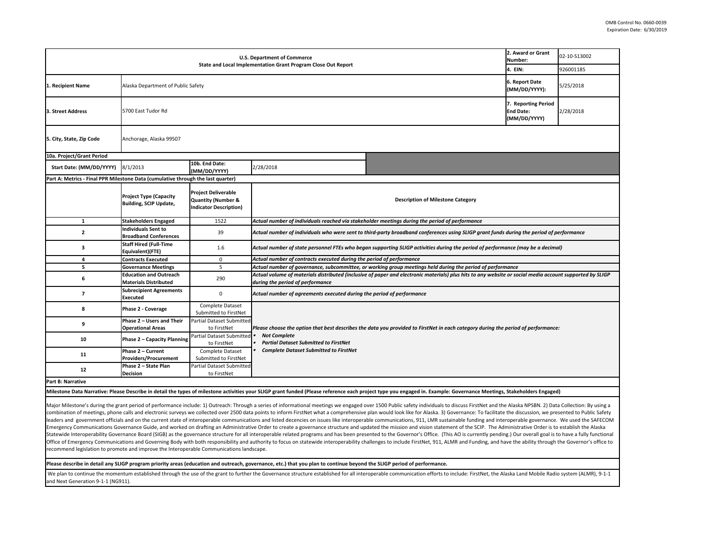| U.S. Department of Commerce<br>State and Local Implementation Grant Program Close Out Report                                                                                                                          |                                                                |                                                                                              |                                                                                                                                                                                              | 2. Award or Grant<br>Number: | 02-10-S13002                                            |           |  |
|-----------------------------------------------------------------------------------------------------------------------------------------------------------------------------------------------------------------------|----------------------------------------------------------------|----------------------------------------------------------------------------------------------|----------------------------------------------------------------------------------------------------------------------------------------------------------------------------------------------|------------------------------|---------------------------------------------------------|-----------|--|
|                                                                                                                                                                                                                       |                                                                |                                                                                              | 4. EIN:                                                                                                                                                                                      | 926001185                    |                                                         |           |  |
| 1. Recipient Name                                                                                                                                                                                                     | Alaska Department of Public Safety                             |                                                                                              |                                                                                                                                                                                              |                              | 6. Report Date<br>(MM/DD/YYYY):                         | 5/25/2018 |  |
| 3. Street Address                                                                                                                                                                                                     | 5700 East Tudor Rd                                             |                                                                                              |                                                                                                                                                                                              |                              | 7. Reporting Period<br><b>End Date:</b><br>(MM/DD/YYYY) | 2/28/2018 |  |
| 5. City, State, Zip Code                                                                                                                                                                                              | Anchorage, Alaska 99507                                        |                                                                                              |                                                                                                                                                                                              |                              |                                                         |           |  |
| 10a. Project/Grant Period                                                                                                                                                                                             |                                                                |                                                                                              |                                                                                                                                                                                              |                              |                                                         |           |  |
| Start Date: (MM/DD/YYYY)                                                                                                                                                                                              | 8/1/2013                                                       | 10b. End Date:<br>(MM/DD/YYYY)                                                               | 2/28/2018                                                                                                                                                                                    |                              |                                                         |           |  |
| Part A: Metrics - Final PPR Milestone Data (cumulative through the last quarter)                                                                                                                                      |                                                                |                                                                                              |                                                                                                                                                                                              |                              |                                                         |           |  |
|                                                                                                                                                                                                                       | <b>Project Type (Capacity</b><br><b>Building, SCIP Update,</b> | <b>Project Deliverable</b><br><b>Quantity (Number &amp;</b><br><b>Indicator Description)</b> | <b>Description of Milestone Category</b>                                                                                                                                                     |                              |                                                         |           |  |
| $\mathbf{1}$                                                                                                                                                                                                          | <b>Stakeholders Engaged</b>                                    | 1522                                                                                         | Actual number of individuals reached via stakeholder meetings during the period of performance                                                                                               |                              |                                                         |           |  |
| $\overline{2}$                                                                                                                                                                                                        | <b>Individuals Sent to</b><br><b>Broadband Conferences</b>     | 39                                                                                           | Actual number of individuals who were sent to third-party broadband conferences using SLIGP grant funds during the period of performance                                                     |                              |                                                         |           |  |
| 3                                                                                                                                                                                                                     | <b>Staff Hired (Full-Time</b><br>Equivalent)(FTE)              | 1.6                                                                                          | Actual number of state personnel FTEs who began supporting SLIGP activities during the period of performance (may be a decimal)                                                              |                              |                                                         |           |  |
| $\overline{a}$                                                                                                                                                                                                        | <b>Contracts Executed</b>                                      | 0                                                                                            | Actual number of contracts executed during the period of performance                                                                                                                         |                              |                                                         |           |  |
| 5                                                                                                                                                                                                                     | <b>Governance Meetings</b>                                     | 5                                                                                            | Actual number of governance, subcommittee, or working group meetings held during the period of performance                                                                                   |                              |                                                         |           |  |
| 6                                                                                                                                                                                                                     | <b>Education and Outreach</b><br><b>Materials Distributed</b>  | 290                                                                                          | Actual volume of materials distributed (inclusive of paper and electronic materials) plus hits to any website or social media account supported by SLIGP<br>during the period of performance |                              |                                                         |           |  |
| $\overline{7}$                                                                                                                                                                                                        | <b>Subrecipient Agreements</b><br>Executed                     | $\mathbf 0$                                                                                  | Actual number of agreements executed during the period of performance                                                                                                                        |                              |                                                         |           |  |
| 8                                                                                                                                                                                                                     | Phase 2 - Coverage                                             | Complete Dataset<br>Submitted to FirstNet                                                    |                                                                                                                                                                                              |                              |                                                         |           |  |
| 9                                                                                                                                                                                                                     | Phase 2 - Users and Their                                      | <b>Partial Dataset Submitted</b>                                                             | Please choose the option that best describes the data you provided to FirstNet in each category during the period of performance:                                                            |                              |                                                         |           |  |
|                                                                                                                                                                                                                       | <b>Operational Areas</b>                                       | to FirstNet                                                                                  |                                                                                                                                                                                              |                              |                                                         |           |  |
| 10                                                                                                                                                                                                                    | Phase 2 - Capacity Planning                                    | Partial Dataset Submitted<br>to FirstNet                                                     | <b>Not Complete</b><br><b>Partial Dataset Submitted to FirstNet</b><br><b>Complete Dataset Submitted to FirstNet</b>                                                                         |                              |                                                         |           |  |
| 11                                                                                                                                                                                                                    | Phase 2 - Current                                              | Complete Dataset                                                                             |                                                                                                                                                                                              |                              |                                                         |           |  |
|                                                                                                                                                                                                                       | Providers/Procurement                                          | Submitted to FirstNet                                                                        |                                                                                                                                                                                              |                              |                                                         |           |  |
| 12                                                                                                                                                                                                                    | Phase 2 – State Plan                                           | Partial Dataset Submitted                                                                    |                                                                                                                                                                                              |                              |                                                         |           |  |
|                                                                                                                                                                                                                       | Decision                                                       | to FirstNet                                                                                  |                                                                                                                                                                                              |                              |                                                         |           |  |
| Part B: Narrative                                                                                                                                                                                                     |                                                                |                                                                                              |                                                                                                                                                                                              |                              |                                                         |           |  |
| Milestone Data Narrative: Please Describe in detail the types of milestone activities your SLIGP grant funded (Please reference each project type you engaged in. Example: Governance Meetings, Stakeholders Engaged) |                                                                |                                                                                              |                                                                                                                                                                                              |                              |                                                         |           |  |

Major Milestone's during the grant period of performance include: 1) Outreach: Through a series of informational meetings we engaged over 1500 Public safety individuals to discuss FirstNet and the Alaska NPSBN. 2) Data Col combination of meetings, phone calls and electronic surveys we collected over 2500 data points to inform FirstNet what a comprehensive plan would look like for Alaska. 3) Governance: To facilitate the discussion, we presen leaders and government officials and on the current state of interoperable communications and listed decencies on issues like interoperable communications, 911, LMR sustainable funding and interoperable governance. We used Emergency Communications Governance Guide, and worked on drafting an Administrative Order to create a governance structure and updated the mission and vision statement of the SCIP. The Administrative Order is to establish Statewide Interoperability Governance Board (SIGB) as the governance structure for all interoperable related programs and has been presented to the Governor's Office. (This AO is currently pending.) Our overall goal is to Office of Emergency Communications and Governing Body with both responsibility and authority to focus on statewide interoperability challenges to include FirstNet, 911, ALMR and Funding, and have the ability through the Go recommend legislation to promote and improve the Interoperable Communications landscape.

**Please describe in detail any SLIGP program priority areas (education and outreach, governance, etc.) that you plan to continue beyond the SLIGP period of performance.**

We plan to continue the momentum established through the use of the grant to further the Governance structure established for all interoperable communication efforts to include: FirstNet, the Alaska Land Mobile Radio syste and Next Generation 9‐1‐1 (NG911).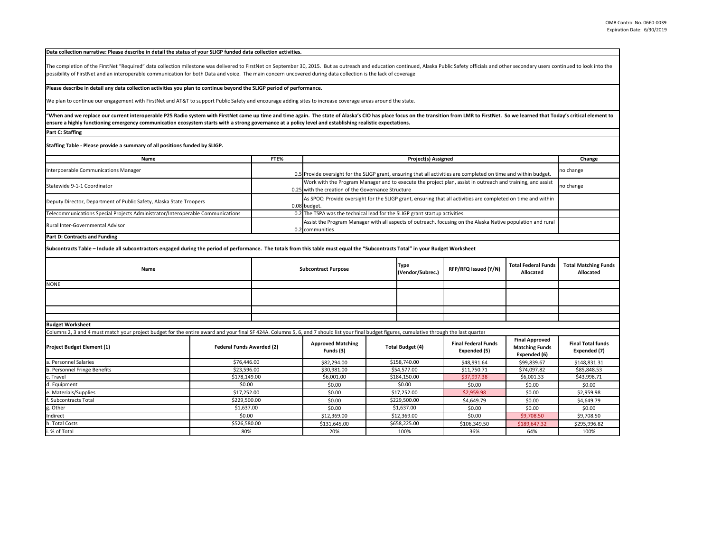## **Data collection narrative: Please describe in detail the status of your SLIGP funded data collection activities.**

The completion of the FirstNet "Required" data collection milestone was delivered to FirstNet on September 30, 2015. But as outreach and education continued, Alaska Public Safety officials and other secondary users continu possibility of FirstNet and an interoperable communication for both Data and voice. The main concern uncovered during data collection is the lack of coverage

## **Please describe in detail any data collection activities you plan to continue beyond the SLIGP period of performance.**

We plan to continue our engagement with FirstNet and AT&T to support Public Safety and encourage adding sites to increase coverage areas around the state.

"When and we replace our current interoperable P25 Radio system with FirstNet came up time and time again. The state of Alaska's CIO has place focus on the transition from LMR to FirstNet. So we learned that Today's critic **ensure a highly functioning emergency communication ecosystem starts with a strong governance at a policy level and establishing realistic expectations.**

,我们也不会有什么。""我们的人,我们也不会有什么?""我们的人,我们也不会有什么?""我们的人,我们也不会有什么?""我们的人,我们也不会有什么?""我们的人

**Part C: Staffing**

**Staffing Table ‐ Please provide a summary of all positions funded by SLIGP.**

|  | no change                                                                                                                                                                                                                                                                                                                                                                                                                                                                                                                                                                                                                              |
|--|----------------------------------------------------------------------------------------------------------------------------------------------------------------------------------------------------------------------------------------------------------------------------------------------------------------------------------------------------------------------------------------------------------------------------------------------------------------------------------------------------------------------------------------------------------------------------------------------------------------------------------------|
|  | no change                                                                                                                                                                                                                                                                                                                                                                                                                                                                                                                                                                                                                              |
|  |                                                                                                                                                                                                                                                                                                                                                                                                                                                                                                                                                                                                                                        |
|  |                                                                                                                                                                                                                                                                                                                                                                                                                                                                                                                                                                                                                                        |
|  |                                                                                                                                                                                                                                                                                                                                                                                                                                                                                                                                                                                                                                        |
|  | 0.5 Provide oversight for the SLIGP grant, ensuring that all activities are completed on time and within budget.<br>Work with the Program Manager and to execute the project plan, assist in outreach and training, and assist<br>0.25 with the creation of the Governance Structure<br>As SPOC: Provide oversight for the SLIGP grant, ensuring that all activities are completed on time and within<br>0.08 budget.<br>0.2 The TSPA was the technical lead for the SLIGP grant startup activities.<br>Assist the Program Manager with all aspects of outreach, focusing on the Alaska Native population and rural<br>0.2 communities |

## **Part D: Contracts and Funding**

**Subcontracts Table – Include all subcontractors engaged during the period of performance. The totals from this table must equal the "Subcontracts Total" in your Budget Worksheet**

| Name        | <b>Subcontract Purpose</b> | <b>Type</b><br>(Vendor/Subrec.) | RFP/RFQ Issued (Y/N) | <b>Total Federal Funds</b><br>Allocated | <b>Total Matching Funds</b><br>Allocated |
|-------------|----------------------------|---------------------------------|----------------------|-----------------------------------------|------------------------------------------|
| <b>NONE</b> |                            |                                 |                      |                                         |                                          |
|             |                            |                                 |                      |                                         |                                          |
|             |                            |                                 |                      |                                         |                                          |
|             |                            |                                 |                      |                                         |                                          |

**Budget Worksheet**

Columns 2, 3 and 4 must match your project budget for the entire award and your final SF 424A. Columns 5, 6, and 7 should list your final budget figures, cumulative through the last quarter

| <b>Project Budget Element (1)</b> | <b>Federal Funds Awarded (2)</b> | <b>Approved Matching</b><br>Funds (3) | <b>Total Budget (4)</b> | <b>Final Federal Funds</b><br>Expended (5) | <b>Final Approved</b><br><b>Matching Funds</b><br>Expended (6) | <b>Final Total funds</b><br>Expended (7) |
|-----------------------------------|----------------------------------|---------------------------------------|-------------------------|--------------------------------------------|----------------------------------------------------------------|------------------------------------------|
| a. Personnel Salaries             | \$76,446.00                      | \$82,294.00                           | \$158,740.00            | \$48,991.64                                | \$99,839.67                                                    | \$148,831.31                             |
| b. Personnel Fringe Benefits      | \$23,596.00                      | \$30,981.00                           | \$54,577.00             | \$11,750.71                                | \$74,097.82                                                    | \$85,848.53                              |
| c. Travel                         | \$178,149.00                     | \$6,001.00                            | \$184,150.00            | \$37,997.38                                | \$6,001.33                                                     | \$43,998.71                              |
| d. Equipment                      | \$0.00                           | \$0.00                                | \$0.00                  | \$0.00                                     | \$0.00                                                         | \$0.00                                   |
| e. Materials/Supplies             | \$17.252.00                      | \$0.00                                | \$17.252.00             | \$2,959.98                                 | \$0.00                                                         | \$2,959.98                               |
| f. Subcontracts Total             | \$229,500.00                     | \$0.00                                | \$229,500.00            | \$4,649.79                                 | \$0.00                                                         | \$4,649.79                               |
| g. Other                          | \$1,637.00                       | \$0.00                                | \$1,637.00              | \$0.00                                     | \$0.00                                                         | \$0.00                                   |
| Indirect                          | \$0.00                           | \$12,369.00                           | \$12,369.00             | \$0.00                                     | \$9,708.50                                                     | \$9.708.50                               |
| h. Total Costs                    | \$526,580.00                     | \$131,645.00                          | \$658,225.00            | \$106,349.50                               | \$189,647.32                                                   | \$295,996.82                             |
| i. % of Total                     | 80%                              | 20%                                   | 100%                    | 36%                                        | 64%                                                            | 100%                                     |